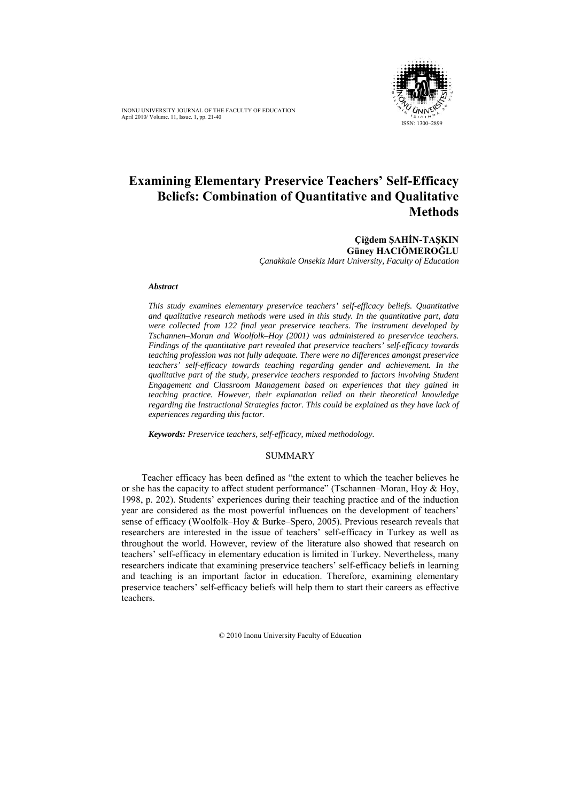INONU UNIVERSITY JOURNAL OF THE FACULTY OF EDUCATION April 2010/ Volume. 11, Issue. 1, pp. 21-40



# **Examining Elementary Preservice Teachers' Self-Efficacy Beliefs: Combination of Quantitative and Qualitative Methods**

# **Çiğdem ŞAHİN-TAŞKIN Güney HACIÖMEROĞLU**

*Çanakkale Onsekiz Mart University, Faculty of Education* 

#### *Abstract*

*This study examines elementary preservice teachers' self-efficacy beliefs. Quantitative and qualitative research methods were used in this study. In the quantitative part, data were collected from 122 final year preservice teachers. The instrument developed by Tschannen–Moran and Woolfolk–Hoy (2001) was administered to preservice teachers. Findings of the quantitative part revealed that preservice teachers' self-efficacy towards teaching profession was not fully adequate. There were no differences amongst preservice teachers' self-efficacy towards teaching regarding gender and achievement. In the qualitative part of the study, preservice teachers responded to factors involving Student Engagement and Classroom Management based on experiences that they gained in teaching practice. However, their explanation relied on their theoretical knowledge regarding the Instructional Strategies factor. This could be explained as they have lack of experiences regarding this factor.* 

*Keywords: Preservice teachers, self-efficacy, mixed methodology.* 

## SUMMARY

Teacher efficacy has been defined as "the extent to which the teacher believes he or she has the capacity to affect student performance" (Tschannen–Moran, Hoy & Hoy, 1998, p. 202). Students' experiences during their teaching practice and of the induction year are considered as the most powerful influences on the development of teachers' sense of efficacy (Woolfolk–Hoy & Burke–Spero, 2005). Previous research reveals that researchers are interested in the issue of teachers' self-efficacy in Turkey as well as throughout the world. However, review of the literature also showed that research on teachers' self-efficacy in elementary education is limited in Turkey. Nevertheless, many researchers indicate that examining preservice teachers' self-efficacy beliefs in learning and teaching is an important factor in education. Therefore, examining elementary preservice teachers' self-efficacy beliefs will help them to start their careers as effective teachers.

© 2010 Inonu University Faculty of Education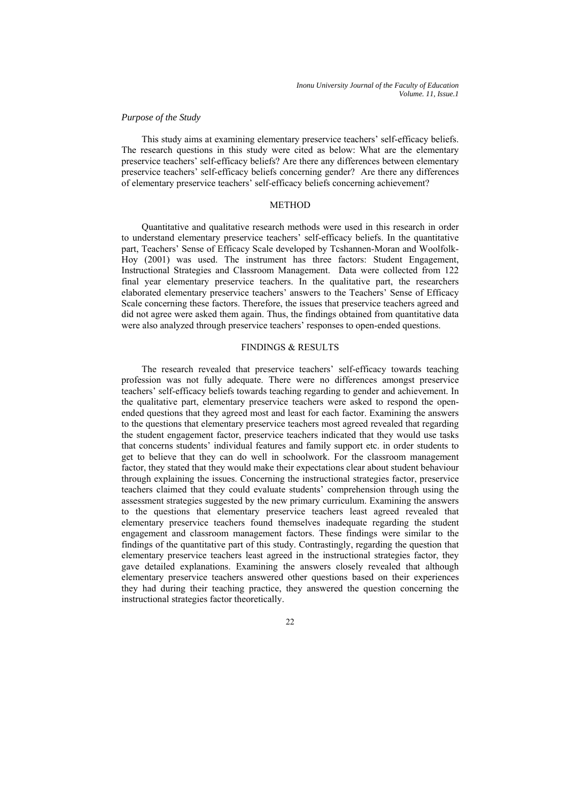#### *Purpose of the Study*

This study aims at examining elementary preservice teachers' self-efficacy beliefs. The research questions in this study were cited as below: What are the elementary preservice teachers' self-efficacy beliefs? Are there any differences between elementary preservice teachers' self-efficacy beliefs concerning gender? Are there any differences of elementary preservice teachers' self-efficacy beliefs concerning achievement?

## **METHOD**

Quantitative and qualitative research methods were used in this research in order to understand elementary preservice teachers' self-efficacy beliefs. In the quantitative part, Teachers' Sense of Efficacy Scale developed by Tcshannen-Moran and Woolfolk-Hoy (2001) was used. The instrument has three factors: Student Engagement, Instructional Strategies and Classroom Management. Data were collected from 122 final year elementary preservice teachers. In the qualitative part, the researchers elaborated elementary preservice teachers' answers to the Teachers' Sense of Efficacy Scale concerning these factors. Therefore, the issues that preservice teachers agreed and did not agree were asked them again. Thus, the findings obtained from quantitative data were also analyzed through preservice teachers' responses to open-ended questions.

#### FINDINGS & RESULTS

The research revealed that preservice teachers' self-efficacy towards teaching profession was not fully adequate. There were no differences amongst preservice teachers' self-efficacy beliefs towards teaching regarding to gender and achievement. In the qualitative part, elementary preservice teachers were asked to respond the openended questions that they agreed most and least for each factor. Examining the answers to the questions that elementary preservice teachers most agreed revealed that regarding the student engagement factor, preservice teachers indicated that they would use tasks that concerns students' individual features and family support etc. in order students to get to believe that they can do well in schoolwork. For the classroom management factor, they stated that they would make their expectations clear about student behaviour through explaining the issues. Concerning the instructional strategies factor, preservice teachers claimed that they could evaluate students' comprehension through using the assessment strategies suggested by the new primary curriculum. Examining the answers to the questions that elementary preservice teachers least agreed revealed that elementary preservice teachers found themselves inadequate regarding the student engagement and classroom management factors. These findings were similar to the findings of the quantitative part of this study. Contrastingly, regarding the question that elementary preservice teachers least agreed in the instructional strategies factor, they gave detailed explanations. Examining the answers closely revealed that although elementary preservice teachers answered other questions based on their experiences they had during their teaching practice, they answered the question concerning the instructional strategies factor theoretically.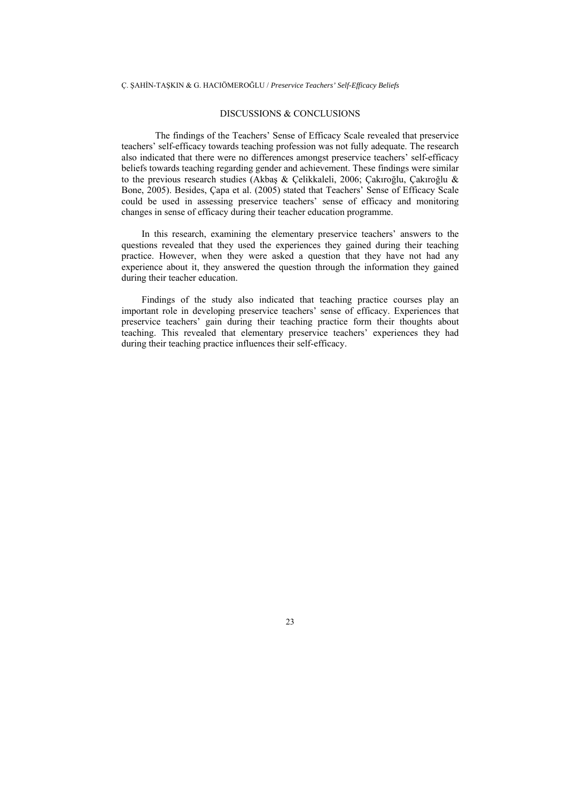## DISCUSSIONS & CONCLUSIONS

 The findings of the Teachers' Sense of Efficacy Scale revealed that preservice teachers' self-efficacy towards teaching profession was not fully adequate. The research also indicated that there were no differences amongst preservice teachers' self-efficacy beliefs towards teaching regarding gender and achievement. These findings were similar to the previous research studies (Akbaş & Çelikkaleli, 2006; Çakıroğlu, Çakıroğlu & Bone, 2005). Besides, Çapa et al. (2005) stated that Teachers' Sense of Efficacy Scale could be used in assessing preservice teachers' sense of efficacy and monitoring changes in sense of efficacy during their teacher education programme.

In this research, examining the elementary preservice teachers' answers to the questions revealed that they used the experiences they gained during their teaching practice. However, when they were asked a question that they have not had any experience about it, they answered the question through the information they gained during their teacher education.

Findings of the study also indicated that teaching practice courses play an important role in developing preservice teachers' sense of efficacy. Experiences that preservice teachers' gain during their teaching practice form their thoughts about teaching. This revealed that elementary preservice teachers' experiences they had during their teaching practice influences their self-efficacy.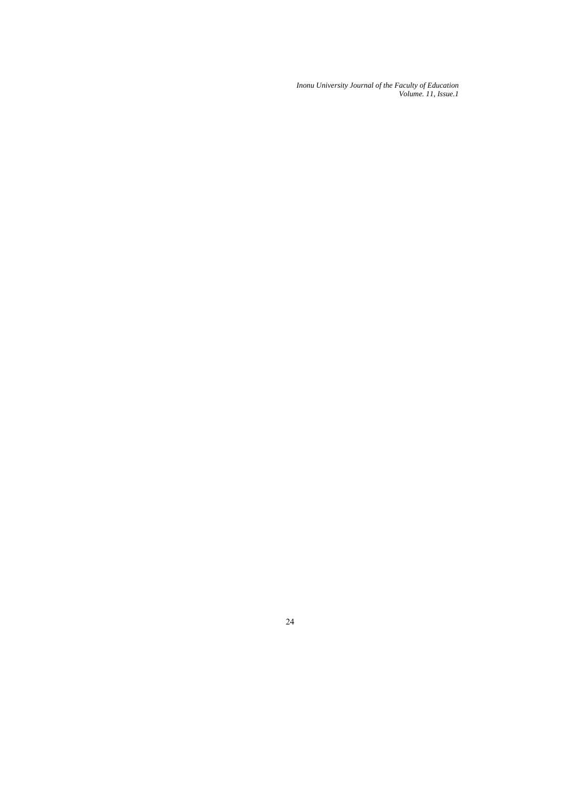*Inonu University Journal of the Faculty of Education Volume. 11, Issue.1*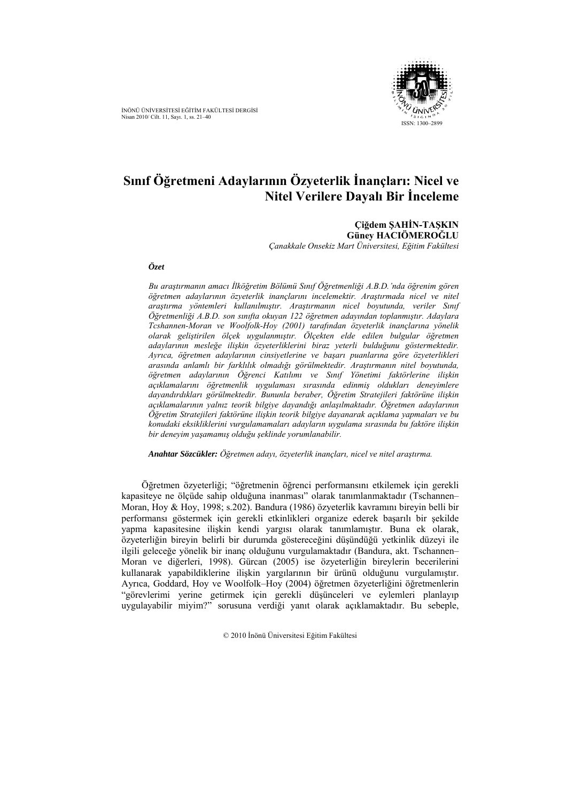İNÖNÜ ÜNİVERSİTESİ EĞİTİM FAKÜLTESİ DERGİSİ Nisan 2010/ Cilt. 11, Sayı. 1, ss. 21–40



# **Sınıf Öğretmeni Adaylarının Özyeterlik İnançları: Nicel ve Nitel Verilere Dayalı Bir İnceleme**

**Çiğdem ŞAHİN-TAŞKIN Güney HACIÖMEROĞLU**  *Çanakkale Onsekiz Mart Üniversitesi, Eğitim Fakültesi* 

*Özet* 

*Bu araştırmanın amacı İlköğretim Bölümü Sınıf Öğretmenliği A.B.D.'nda öğrenim gören öğretmen adaylarının özyeterlik inançlarını incelemektir. Araştırmada nicel ve nitel araştırma yöntemleri kullanılmıştır. Araştırmanın nicel boyutunda, veriler Sınıf Öğretmenliği A.B.D. son sınıfta okuyan 122 öğretmen adayından toplanmıştır. Adaylara Tcshannen-Moran ve Woolfolk-Hoy (2001) tarafından özyeterlik inançlarına yönelik olarak geliştirilen ölçek uygulanmıştır. Ölçekten elde edilen bulgular öğretmen adaylarının mesleğe ilişkin özyeterliklerini biraz yeterli bulduğunu göstermektedir. Ayrıca, öğretmen adaylarının cinsiyetlerine ve başarı puanlarına göre özyeterlikleri arasında anlamlı bir farklılık olmadığı görülmektedir. Araştırmanın nitel boyutunda, öğretmen adaylarının Öğrenci Katılımı ve Sınıf Yönetimi faktörlerine ilişkin açıklamalarını öğretmenlik uygulaması sırasında edinmiş oldukları deneyimlere dayandırdıkları görülmektedir. Bununla beraber, Öğretim Stratejileri faktörüne ilişkin açıklamalarının yalnız teorik bilgiye dayandığı anlaşılmaktadır. Öğretmen adaylarının Öğretim Stratejileri faktörüne ilişkin teorik bilgiye dayanarak açıklama yapmaları ve bu konudaki eksikliklerini vurgulamamaları adayların uygulama sırasında bu faktöre ilişkin bir deneyim yaşamamış olduğu şeklinde yorumlanabilir.* 

*Anahtar Sözcükler: Öğretmen adayı, özyeterlik inançları, nicel ve nitel araştırma.* 

Öğretmen özyeterliği; "öğretmenin öğrenci performansını etkilemek için gerekli kapasiteye ne ölçüde sahip olduğuna inanması" olarak tanımlanmaktadır (Tschannen– Moran, Hoy & Hoy, 1998; s.202). Bandura (1986) özyeterlik kavramını bireyin belli bir performansı göstermek için gerekli etkinlikleri organize ederek başarılı bir şekilde yapma kapasitesine ilişkin kendi yargısı olarak tanımlamıştır. Buna ek olarak, özyeterliğin bireyin belirli bir durumda göstereceğini düşündüğü yetkinlik düzeyi ile ilgili geleceğe yönelik bir inanç olduğunu vurgulamaktadır (Bandura, akt. Tschannen– Moran ve diğerleri, 1998). Gürcan (2005) ise özyeterliğin bireylerin becerilerini kullanarak yapabildiklerine ilişkin yargılarının bir ürünü olduğunu vurgulamıştır. Ayrıca, Goddard, Hoy ve Woolfolk–Hoy (2004) öğretmen özyeterliğini öğretmenlerin "görevlerimi yerine getirmek için gerekli düşünceleri ve eylemleri planlayıp uygulayabilir miyim?" sorusuna verdiği yanıt olarak açıklamaktadır. Bu sebeple,

© 2010 İnönü Üniversitesi Eğitim Fakültesi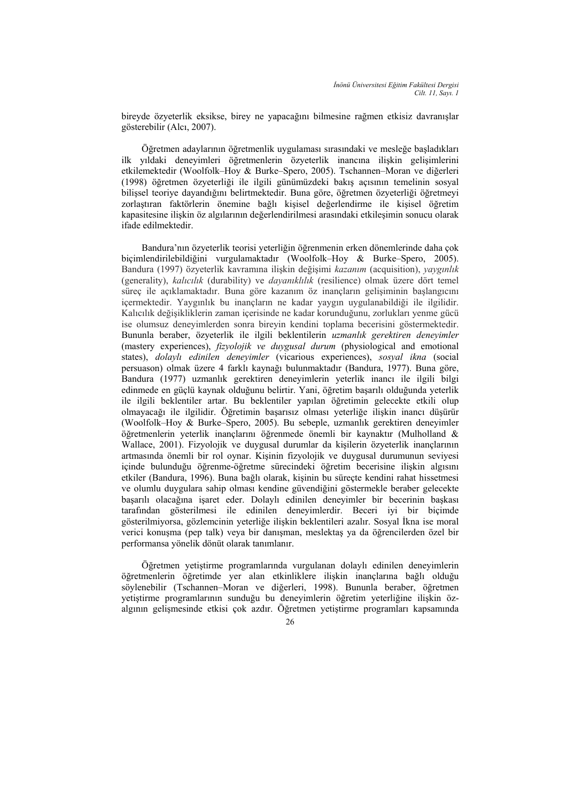bireyde özyeterlik eksikse, birey ne yapacağını bilmesine rağmen etkisiz davranışlar gösterebilir (Alcı, 2007).

Öğretmen adaylarının öğretmenlik uygulaması sırasındaki ve mesleğe başladıkları ilk yıldaki deneyimleri öğretmenlerin özyeterlik inancına ilişkin gelişimlerini etkilemektedir (Woolfolk–Hoy & Burke–Spero, 2005). Tschannen–Moran ve diğerleri (1998) öğretmen özyeterliği ile ilgili günümüzdeki bakış açısının temelinin sosyal bilişsel teoriye dayandığını belirtmektedir. Buna göre, öğretmen özyeterliği öğretmeyi zorlaştıran faktörlerin önemine bağlı kişisel değerlendirme ile kişisel öğretim kapasitesine ilişkin öz algılarının değerlendirilmesi arasındaki etkileşimin sonucu olarak ifade edilmektedir.

Bandura'nın özyeterlik teorisi yeterliğin öğrenmenin erken dönemlerinde daha çok biçimlendirilebildiğini vurgulamaktadır (Woolfolk–Hoy & Burke–Spero, 2005). Bandura (1997) özyeterlik kavramına ilişkin değişimi *kazanım* (acquisition), *yaygınlık* (generality), *kalıcılık* (durability) ve *dayanıklılık* (resilience) olmak üzere dört temel süreç ile açıklamaktadır. Buna göre kazanım öz inançların gelişiminin başlangıcını içermektedir. Yaygınlık bu inançların ne kadar yaygın uygulanabildiği ile ilgilidir. Kalıcılık değişikliklerin zaman içerisinde ne kadar korunduğunu, zorlukları yenme gücü ise olumsuz deneyimlerden sonra bireyin kendini toplama becerisini göstermektedir. Bununla beraber, özyeterlik ile ilgili beklentilerin *uzmanlık gerektiren deneyimler*  (mastery experiences), *fizyolojik ve duygusal durum* (physiological and emotional states), *dolaylı edinilen deneyimler* (vicarious experiences), *sosyal ikna* (social persuason) olmak üzere 4 farklı kaynağı bulunmaktadır (Bandura, 1977). Buna göre, Bandura (1977) uzmanlık gerektiren deneyimlerin yeterlik inancı ile ilgili bilgi edinmede en güçlü kaynak olduğunu belirtir. Yani, öğretim başarılı olduğunda yeterlik ile ilgili beklentiler artar. Bu beklentiler yapılan öğretimin gelecekte etkili olup olmayacağı ile ilgilidir. Öğretimin başarısız olması yeterliğe ilişkin inancı düşürür (Woolfolk–Hoy & Burke–Spero, 2005). Bu sebeple, uzmanlık gerektiren deneyimler öğretmenlerin yeterlik inançlarını öğrenmede önemli bir kaynaktır (Mulholland & Wallace, 2001). Fizyolojik ve duygusal durumlar da kişilerin özyeterlik inançlarının artmasında önemli bir rol oynar. Kişinin fizyolojik ve duygusal durumunun seviyesi içinde bulunduğu öğrenme-öğretme sürecindeki öğretim becerisine ilişkin algısını etkiler (Bandura, 1996). Buna bağlı olarak, kişinin bu süreçte kendini rahat hissetmesi ve olumlu duygulara sahip olması kendine güvendiğini göstermekle beraber gelecekte başarılı olacağına işaret eder. Dolaylı edinilen deneyimler bir becerinin başkası tarafından gösterilmesi ile edinilen deneyimlerdir. Beceri iyi bir biçimde gösterilmiyorsa, gözlemcinin yeterliğe ilişkin beklentileri azalır. Sosyal İkna ise moral verici konuşma (pep talk) veya bir danışman, meslektaş ya da öğrencilerden özel bir performansa yönelik dönüt olarak tanımlanır.

Öğretmen yetiştirme programlarında vurgulanan dolaylı edinilen deneyimlerin öğretmenlerin öğretimde yer alan etkinliklere ilişkin inançlarına bağlı olduğu söylenebilir (Tschannen–Moran ve diğerleri, 1998). Bununla beraber, öğretmen yetiştirme programlarının sunduğu bu deneyimlerin öğretim yeterliğine ilişkin özalgının gelişmesinde etkisi çok azdır. Öğretmen yetiştirme programları kapsamında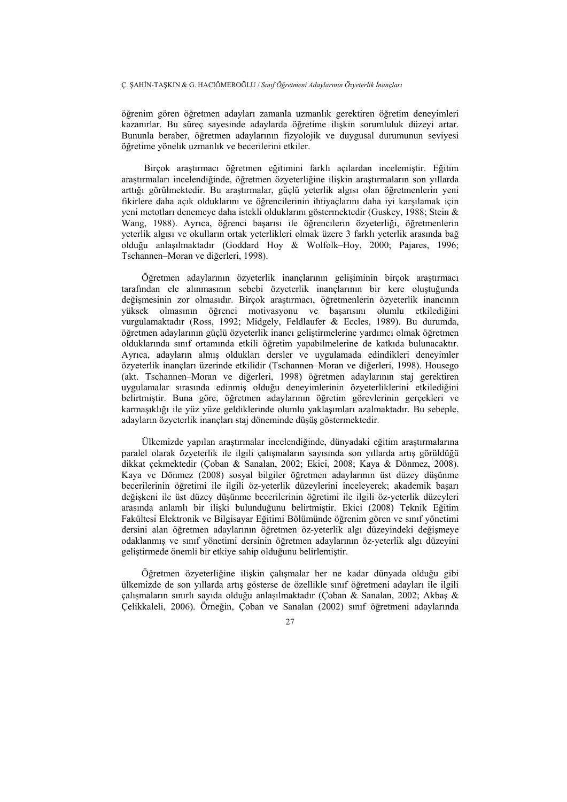öğrenim gören öğretmen adayları zamanla uzmanlık gerektiren öğretim deneyimleri kazanırlar. Bu süreç sayesinde adaylarda öğretime ilişkin sorumluluk düzeyi artar. Bununla beraber, öğretmen adaylarının fizyolojik ve duygusal durumunun seviyesi öğretime yönelik uzmanlık ve becerilerini etkiler.

 Birçok araştırmacı öğretmen eğitimini farklı açılardan incelemiştir. Eğitim araştırmaları incelendiğinde, öğretmen özyeterliğine ilişkin araştırmaların son yıllarda arttığı görülmektedir. Bu araştırmalar, güçlü yeterlik algısı olan öğretmenlerin yeni fikirlere daha açık olduklarını ve öğrencilerinin ihtiyaçlarını daha iyi karşılamak için yeni metotları denemeye daha istekli olduklarını göstermektedir (Guskey, 1988; Stein & Wang, 1988). Ayrıca, öğrenci başarısı ile öğrencilerin özyeterliği, öğretmenlerin yeterlik algısı ve okulların ortak yeterlikleri olmak üzere 3 farklı yeterlik arasında bağ olduğu anlaşılmaktadır (Goddard Hoy & Wolfolk–Hoy, 2000; Pajares, 1996; Tschannen–Moran ve diğerleri, 1998).

Öğretmen adaylarının özyeterlik inançlarının gelişiminin birçok araştırmacı tarafından ele alınmasının sebebi özyeterlik inançlarının bir kere oluştuğunda değişmesinin zor olmasıdır. Birçok araştırmacı, öğretmenlerin özyeterlik inancının yüksek olmasının öğrenci motivasyonu ve başarısını olumlu etkilediğini vurgulamaktadır (Ross, 1992; Midgely, Feldlaufer & Eccles, 1989). Bu durumda, öğretmen adaylarının güçlü özyeterlik inancı geliştirmelerine yardımcı olmak öğretmen olduklarında sınıf ortamında etkili öğretim yapabilmelerine de katkıda bulunacaktır. Ayrıca, adayların almış oldukları dersler ve uygulamada edindikleri deneyimler özyeterlik inançları üzerinde etkilidir (Tschannen–Moran ve diğerleri, 1998). Housego (akt. Tschannen–Moran ve diğerleri, 1998) öğretmen adaylarının staj gerektiren uygulamalar sırasında edinmiş olduğu deneyimlerinin özyeterliklerini etkilediğini belirtmiştir. Buna göre, öğretmen adaylarının öğretim görevlerinin gerçekleri ve karmaşıklığı ile yüz yüze geldiklerinde olumlu yaklaşımları azalmaktadır. Bu sebeple, adayların özyeterlik inançları staj döneminde düşüş göstermektedir.

Ülkemizde yapılan araştırmalar incelendiğinde, dünyadaki eğitim araştırmalarına paralel olarak özyeterlik ile ilgili çalışmaların sayısında son yıllarda artış görüldüğü dikkat çekmektedir (Çoban & Sanalan, 2002; Ekici, 2008; Kaya & Dönmez, 2008). Kaya ve Dönmez (2008) sosyal bilgiler öğretmen adaylarının üst düzey düşünme becerilerinin öğretimi ile ilgili öz-yeterlik düzeylerini inceleyerek; akademik başarı değişkeni ile üst düzey düşünme becerilerinin öğretimi ile ilgili öz-yeterlik düzeyleri arasında anlamlı bir ilişki bulunduğunu belirtmiştir. Ekici (2008) Teknik Eğitim Fakültesi Elektronik ve Bilgisayar Eğitimi Bölümünde öğrenim gören ve sınıf yönetimi dersini alan öğretmen adaylarının öğretmen öz-yeterlik algı düzeyindeki değişmeye odaklanmış ve sınıf yönetimi dersinin öğretmen adaylarının öz-yeterlik algı düzeyini geliştirmede önemli bir etkiye sahip olduğunu belirlemiştir.

Öğretmen özyeterliğine ilişkin çalışmalar her ne kadar dünyada olduğu gibi ülkemizde de son yıllarda artış gösterse de özellikle sınıf öğretmeni adayları ile ilgili çalışmaların sınırlı sayıda olduğu anlaşılmaktadır (Çoban & Sanalan, 2002; Akbaş & Çelikkaleli, 2006). Örneğin, Çoban ve Sanalan (2002) sınıf öğretmeni adaylarında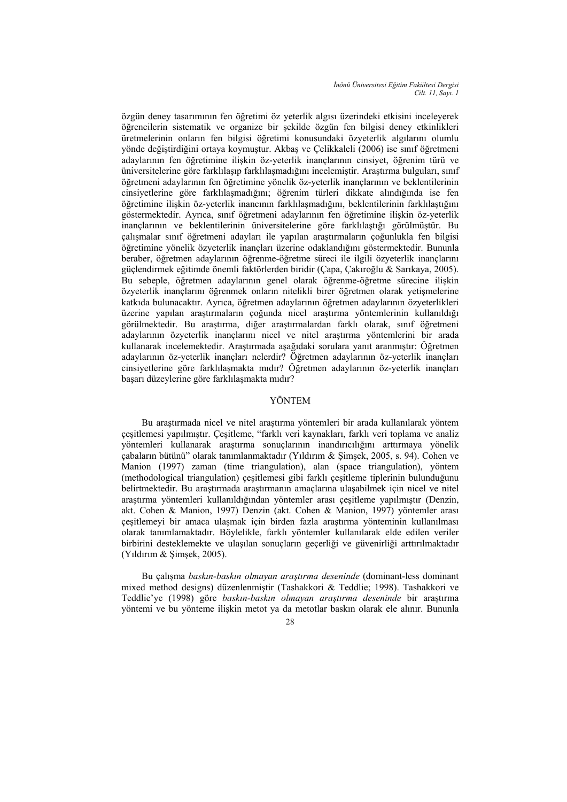özgün deney tasarımının fen öğretimi öz yeterlik algısı üzerindeki etkisini inceleyerek öğrencilerin sistematik ve organize bir şekilde özgün fen bilgisi deney etkinlikleri üretmelerinin onların fen bilgisi öğretimi konusundaki özyeterlik algılarını olumlu yönde değiştirdiğini ortaya koymuştur. Akbaş ve Çelikkaleli (2006) ise sınıf öğretmeni adaylarının fen öğretimine ilişkin öz-yeterlik inançlarının cinsiyet, öğrenim türü ve üniversitelerine göre farklılaşıp farklılaşmadığını incelemiştir. Araştırma bulguları, sınıf öğretmeni adaylarının fen öğretimine yönelik öz-yeterlik inançlarının ve beklentilerinin cinsiyetlerine göre farklılaşmadığını; öğrenim türleri dikkate alındığında ise fen öğretimine ilişkin öz-yeterlik inancının farklılaşmadığını, beklentilerinin farklılaştığını göstermektedir. Ayrıca, sınıf öğretmeni adaylarının fen öğretimine ilişkin öz-yeterlik inançlarının ve beklentilerinin üniversitelerine göre farklılaştığı görülmüştür. Bu çalışmalar sınıf öğretmeni adayları ile yapılan araştırmaların çoğunlukla fen bilgisi öğretimine yönelik özyeterlik inançları üzerine odaklandığını göstermektedir. Bununla beraber, öğretmen adaylarının öğrenme-öğretme süreci ile ilgili özyeterlik inançlarını güçlendirmek eğitimde önemli faktörlerden biridir (Çapa, Çakıroğlu & Sarıkaya, 2005). Bu sebeple, öğretmen adaylarının genel olarak öğrenme-öğretme sürecine ilişkin özyeterlik inançlarını öğrenmek onların nitelikli birer öğretmen olarak yetişmelerine katkıda bulunacaktır. Ayrıca, öğretmen adaylarının öğretmen adaylarının özyeterlikleri üzerine yapılan araştırmaların çoğunda nicel araştırma yöntemlerinin kullanıldığı görülmektedir. Bu araştırma, diğer araştırmalardan farklı olarak, sınıf öğretmeni adaylarının özyeterlik inançlarını nicel ve nitel araştırma yöntemlerini bir arada kullanarak incelemektedir. Araştırmada aşağıdaki sorulara yanıt aranmıştır: Öğretmen adaylarının öz-yeterlik inançları nelerdir? Öğretmen adaylarının öz-yeterlik inançları cinsiyetlerine göre farklılaşmakta mıdır? Öğretmen adaylarının öz-yeterlik inançları başarı düzeylerine göre farklılaşmakta mıdır?

#### YÖNTEM

Bu araştırmada nicel ve nitel araştırma yöntemleri bir arada kullanılarak yöntem çeşitlemesi yapılmıştır. Çeşitleme, "farklı veri kaynakları, farklı veri toplama ve analiz yöntemleri kullanarak araştırma sonuçlarının inandırıcılığını arttırmaya yönelik çabaların bütünü" olarak tanımlanmaktadır (Yıldırım & Şimşek, 2005, s. 94). Cohen ve Manion (1997) zaman (time triangulation), alan (space triangulation), yöntem (methodological triangulation) çeşitlemesi gibi farklı çeşitleme tiplerinin bulunduğunu belirtmektedir. Bu araştırmada araştırmanın amaçlarına ulaşabilmek için nicel ve nitel araştırma yöntemleri kullanıldığından yöntemler arası çeşitleme yapılmıştır (Denzin, akt. Cohen & Manion, 1997) Denzin (akt. Cohen & Manion, 1997) yöntemler arası çeşitlemeyi bir amaca ulaşmak için birden fazla araştırma yönteminin kullanılması olarak tanımlamaktadır. Böylelikle, farklı yöntemler kullanılarak elde edilen veriler birbirini desteklemekte ve ulaşılan sonuçların geçerliği ve güvenirliği arttırılmaktadır (Yıldırım & Şimşek, 2005).

Bu çalışma *baskın-baskın olmayan araştırma deseninde* (dominant-less dominant mixed method designs) düzenlenmiştir (Tashakkori & Teddlie; 1998). Tashakkori ve Teddlie'ye (1998) göre *baskın-baskın olmayan araştırma deseninde* bir araştırma yöntemi ve bu yönteme ilişkin metot ya da metotlar baskın olarak ele alınır. Bununla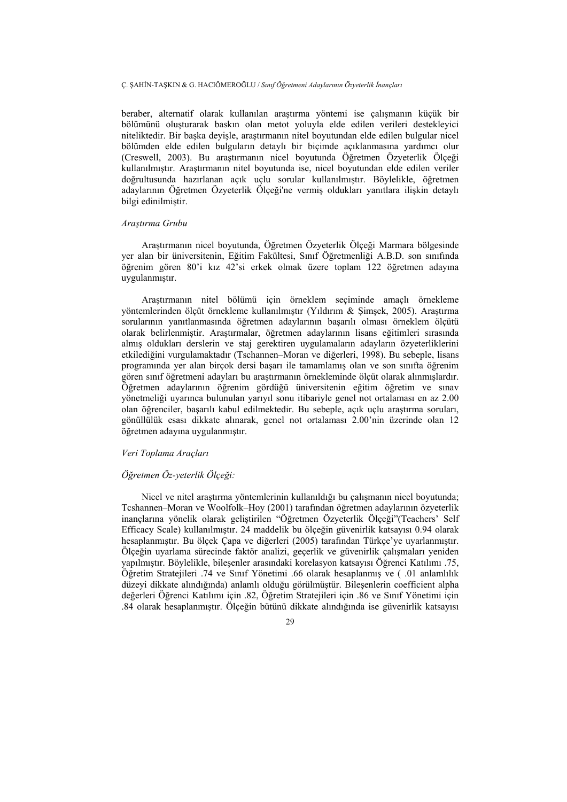beraber, alternatif olarak kullanılan araştırma yöntemi ise çalışmanın küçük bir bölümünü oluşturarak baskın olan metot yoluyla elde edilen verileri destekleyici niteliktedir. Bir başka deyişle, araştırmanın nitel boyutundan elde edilen bulgular nicel bölümden elde edilen bulguların detaylı bir biçimde açıklanmasına yardımcı olur (Creswell, 2003). Bu araştırmanın nicel boyutunda Öğretmen Özyeterlik Ölçeği kullanılmıştır. Araştırmanın nitel boyutunda ise, nicel boyutundan elde edilen veriler doğrultusunda hazırlanan açık uçlu sorular kullanılmıştır. Böylelikle, öğretmen adaylarının Öğretmen Özyeterlik Ölçeği'ne vermiş oldukları yanıtlara ilişkin detaylı bilgi edinilmiştir.

#### *Araştırma Grubu*

Araştırmanın nicel boyutunda, Öğretmen Özyeterlik Ölçeği Marmara bölgesinde yer alan bir üniversitenin, Eğitim Fakültesi, Sınıf Öğretmenliği A.B.D. son sınıfında öğrenim gören 80'i kız 42'si erkek olmak üzere toplam 122 öğretmen adayına uygulanmıştır.

Araştırmanın nitel bölümü için örneklem seçiminde amaçlı örnekleme yöntemlerinden ölçüt örnekleme kullanılmıştır (Yıldırım & Şimşek, 2005). Araştırma sorularının yanıtlanmasında öğretmen adaylarının başarılı olması örneklem ölçütü olarak belirlenmiştir. Araştırmalar, öğretmen adaylarının lisans eğitimleri sırasında almış oldukları derslerin ve staj gerektiren uygulamaların adayların özyeterliklerini etkilediğini vurgulamaktadır (Tschannen–Moran ve diğerleri, 1998). Bu sebeple, lisans programında yer alan birçok dersi başarı ile tamamlamış olan ve son sınıfta öğrenim gören sınıf öğretmeni adayları bu araştırmanın örnekleminde ölçüt olarak alınmışlardır. Öğretmen adaylarının öğrenim gördüğü üniversitenin eğitim öğretim ve sınav yönetmeliği uyarınca bulunulan yarıyıl sonu itibariyle genel not ortalaması en az 2.00 olan öğrenciler, başarılı kabul edilmektedir. Bu sebeple, açık uçlu araştırma soruları, gönüllülük esası dikkate alınarak, genel not ortalaması 2.00'nin üzerinde olan 12 öğretmen adayına uygulanmıştır.

## *Veri Toplama Araçları*

#### *Öğretmen Öz-yeterlik Ölçeği:*

Nicel ve nitel araştırma yöntemlerinin kullanıldığı bu çalışmanın nicel boyutunda; Tcshannen–Moran ve Woolfolk–Hoy (2001) tarafından öğretmen adaylarının özyeterlik inançlarına yönelik olarak geliştirilen "Öğretmen Özyeterlik Ölçeği"(Teachers' Self Efficacy Scale) kullanılmıştır. 24 maddelik bu ölçeğin güvenirlik katsayısı 0.94 olarak hesaplanmıştır. Bu ölçek Çapa ve diğerleri (2005) tarafından Türkçe'ye uyarlanmıştır. Ölçeğin uyarlama sürecinde faktör analizi, geçerlik ve güvenirlik çalışmaları yeniden yapılmıştır. Böylelikle, bileşenler arasındaki korelasyon katsayısı Öğrenci Katılımı .75, Öğretim Stratejileri .74 ve Sınıf Yönetimi .66 olarak hesaplanmış ve ( .01 anlamlılık düzeyi dikkate alındığında) anlamlı olduğu görülmüştür. Bileşenlerin coefficient alpha değerleri Öğrenci Katılımı için .82, Öğretim Stratejileri için .86 ve Sınıf Yönetimi için .84 olarak hesaplanmıştır. Ölçeğin bütünü dikkate alındığında ise güvenirlik katsayısı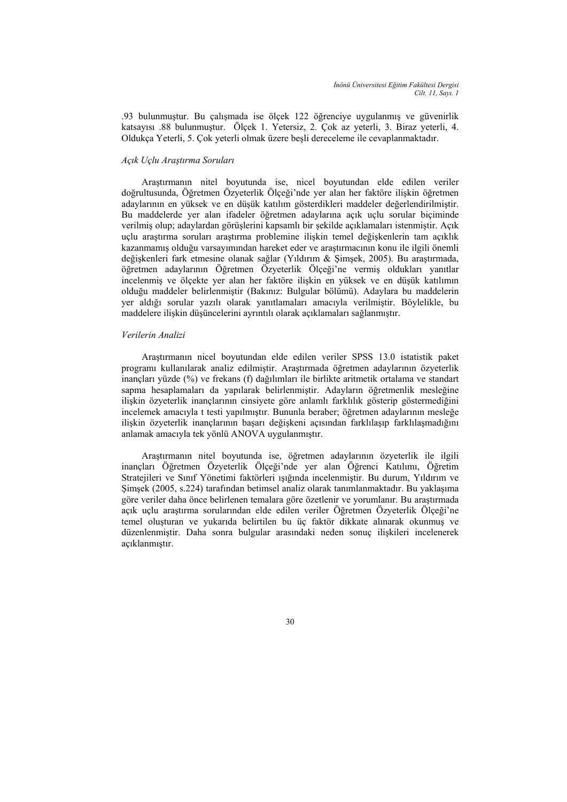.93 bulunmuştur. Bu çalışmada ise ölçek 122 öğrenciye uygulanmış ve güvenirlik katsayısı .88 bulunmuştur. Ölçek 1. Yetersiz, 2. Çok az yeterli, 3. Biraz yeterli, 4. Oldukça Yeterli, 5. Çok yeterli olmak üzere beşli dereceleme ile cevaplanmaktadır.

## *Açık Uçlu Araştırma Soruları*

Araştırmanın nitel boyutunda ise, nicel boyutundan elde edilen veriler doğrultusunda, Öğretmen Özyeterlik Ölçeği'nde yer alan her faktöre ilişkin öğretmen adaylarının en yüksek ve en düşük katılım gösterdikleri maddeler değerlendirilmiştir. Bu maddelerde yer alan ifadeler öğretmen adaylarına açık uçlu sorular biçiminde verilmiş olup; adaylardan görüşlerini kapsamlı bir şekilde açıklamaları istenmiştir. Açık uçlu araştırma soruları araştırma problemine ilişkin temel değişkenlerin tam açıklık kazanmamış olduğu varsayımından hareket eder ve araştırmacının konu ile ilgili önemli değişkenleri fark etmesine olanak sağlar (Yıldırım & Şimşek, 2005). Bu araştırmada, öğretmen adaylarının Öğretmen Özyeterlik Ölçeği'ne vermiş oldukları yanıtlar incelenmiş ve ölçekte yer alan her faktöre ilişkin en yüksek ve en düşük katılımın olduğu maddeler belirlenmiştir (Bakınız: Bulgular bölümü). Adaylara bu maddelerin yer aldığı sorular yazılı olarak yanıtlamaları amacıyla verilmiştir. Böylelikle, bu maddelere ilişkin düşüncelerini ayrıntılı olarak açıklamaları sağlanmıştır.

#### *Verilerin Analizi*

Araştırmanın nicel boyutundan elde edilen veriler SPSS 13.0 istatistik paket programı kullanılarak analiz edilmiştir. Araştırmada öğretmen adaylarının özyeterlik inançları yüzde (%) ve frekans (f) dağılımları ile birlikte aritmetik ortalama ve standart sapma hesaplamaları da yapılarak belirlenmiştir. Adayların öğretmenlik mesleğine ilişkin özyeterlik inançlarının cinsiyete göre anlamlı farklılık gösterip göstermediğini incelemek amacıyla t testi yapılmıştır. Bununla beraber; öğretmen adaylarının mesleğe ilişkin özyeterlik inançlarının başarı değişkeni açısından farklılaşıp farklılaşmadığını anlamak amacıyla tek yönlü ANOVA uygulanmıştır.

Araştırmanın nitel boyutunda ise, öğretmen adaylarının özyeterlik ile ilgili inançları Öğretmen Özyeterlik Ölçeği'nde yer alan Öğrenci Katılımı, Öğretim Stratejileri ve Sınıf Yönetimi faktörleri ışığında incelenmiştir. Bu durum, Yıldırım ve Şimşek (2005, s.224) tarafından betimsel analiz olarak tanımlanmaktadır. Bu yaklaşıma göre veriler daha önce belirlenen temalara göre özetlenir ve yorumlanır. Bu araştırmada açık uçlu araştırma sorularından elde edilen veriler Öğretmen Özyeterlik Ölçeği'ne temel oluşturan ve yukarıda belirtilen bu üç faktör dikkate alınarak okunmuş ve düzenlenmiştir. Daha sonra bulgular arasındaki neden sonuç ilişkileri incelenerek açıklanmıştır.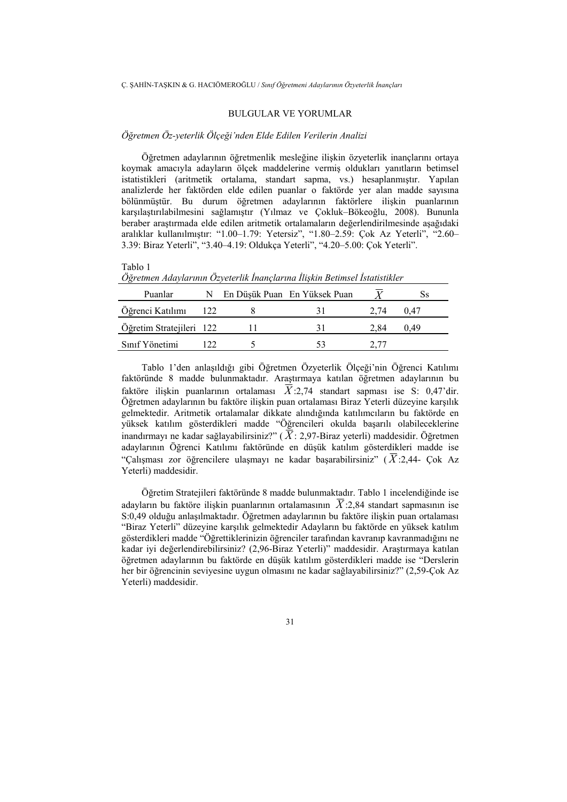## BULGULAR VE YORUMLAR

## *Öğretmen Öz-yeterlik Ölçeği'nden Elde Edilen Verilerin Analizi*

Tablo 1

Öğretmen adaylarının öğretmenlik mesleğine ilişkin özyeterlik inançlarını ortaya koymak amacıyla adayların ölçek maddelerine vermiş oldukları yanıtların betimsel istatistikleri (aritmetik ortalama, standart sapma, vs.) hesaplanmıştır. Yapılan analizlerde her faktörden elde edilen puanlar o faktörde yer alan madde sayısına bölünmüştür. Bu durum öğretmen adaylarının faktörlere ilişkin puanlarının karşılaştırılabilmesini sağlamıştır (Yılmaz ve Çokluk–Bökeoğlu, 2008). Bununla beraber araştırmada elde edilen aritmetik ortalamaların değerlendirilmesinde aşağıdaki aralıklar kullanılmıştır: "1.00–1.79: Yetersiz", "1.80–2.59: Çok Az Yeterli", "2.60– 3.39: Biraz Yeterli", "3.40–4.19: Oldukça Yeterli", "4.20–5.00: Çok Yeterli".

*Öğretmen Adaylarının Özyeterlik İnançlarına İlişkin Betimsel İstatistikler*  Puanlar N En Düşük Puan En Yüksek Puan  $\overline{X}$  Ss Öğrenci Katılımı 122 8 31 2,74 0,47 Öğretim Stratejileri 122 11 31 2,84 0,49 Sunt Yönetimi 122 5 53 2,77

Tablo 1'den anlaşıldığı gibi Öğretmen Özyeterlik Ölçeği'nin Öğrenci Katılımı faktöründe 8 madde bulunmaktadır. Araştırmaya katılan öğretmen adaylarının bu faktöre ilişkin puanlarının ortalaması  $\overline{X}$ :2,74 standart sapması ise S: 0,47'dir. Öğretmen adaylarının bu faktöre ilişkin puan ortalaması Biraz Yeterli düzeyine karşılık gelmektedir. Aritmetik ortalamalar dikkate alındığında katılımcıların bu faktörde en yüksek katılım gösterdikleri madde "Öğrencileri okulda başarılı olabileceklerine inandırmayı ne kadar sağlayabilirsiniz?" ( $\overline{X}$ : 2.97-Biraz yeterli) maddesidir. Öğretmen adaylarının Öğrenci Katılımı faktöründe en düşük katılım gösterdikleri madde ise "Çalışması zor öğrencilere ulaşmayı ne kadar başarabilirsiniz" ( *X* :2,44- Çok Az Yeterli) maddesidir.

Öğretim Stratejileri faktöründe 8 madde bulunmaktadır. Tablo 1 incelendiğinde ise adayların bu faktöre ilişkin puanlarının ortalamasının  $\overline{X}$ :2,84 standart sapmasının ise S:0,49 olduğu anlaşılmaktadır. Öğretmen adaylarının bu faktöre ilişkin puan ortalaması "Biraz Yeterli" düzeyine karşılık gelmektedir Adayların bu faktörde en yüksek katılım gösterdikleri madde "Öğrettiklerinizin öğrenciler tarafından kavranıp kavranmadığını ne kadar iyi değerlendirebilirsiniz? (2,96-Biraz Yeterli)" maddesidir. Araştırmaya katılan öğretmen adaylarının bu faktörde en düşük katılım gösterdikleri madde ise "Derslerin her bir öğrencinin seviyesine uygun olmasını ne kadar sağlayabilirsiniz?" (2,59-Çok Az Yeterli) maddesidir.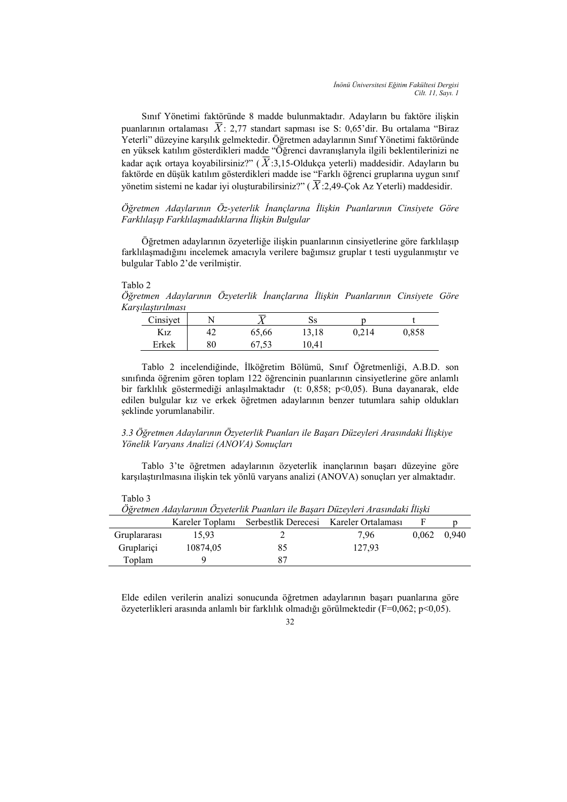Sınıf Yönetimi faktöründe 8 madde bulunmaktadır. Adayların bu faktöre ilişkin puanlarının ortalaması  $\overline{X}$ : 2,77 standart sapması ise S: 0,65'dir. Bu ortalama "Biraz Yeterli" düzeyine karşılık gelmektedir. Öğretmen adaylarının Sınıf Yönetimi faktöründe en yüksek katılım gösterdikleri madde "Öğrenci davranışlarıyla ilgili beklentilerinizi ne kadar açık ortaya koyabilirsiniz?" ( *X* :3,15-Oldukça yeterli) maddesidir. Adayların bu faktörde en düşük katılım gösterdikleri madde ise "Farklı öğrenci gruplarına uygun sınıf yönetim sistemi ne kadar iyi oluşturabilirsiniz?" ( $\overline{X}$ :2,49-Çok Az Yeterli) maddesidir.

*Öğretmen Adaylarının Öz-yeterlik İnançlarına İlişkin Puanlarının Cinsiyete Göre Farklılaşıp Farklılaşmadıklarına İlişkin Bulgular* 

Öğretmen adaylarının özyeterliğe ilişkin puanlarının cinsiyetlerine göre farklılaşıp farklılaşmadığını incelemek amacıyla verilere bağımsız gruplar t testi uygulanmıştır ve bulgular Tablo 2'de verilmiştir.

#### Tablo 2

Tablo 3

*Öğretmen Adaylarının Özyeterlik İnançlarına İlişkin Puanlarının Cinsiyete Göre Karşılaştırılması*

| Cinsiyet |    |       |       |       |       |
|----------|----|-------|-------|-------|-------|
| Kız      | 42 | 65,66 | 13,18 | 0.214 | 0,858 |
| Erkek    | 80 | 67.53 | 10,41 |       |       |

Tablo 2 incelendiğinde, İlköğretim Bölümü, Sınıf Öğretmenliği, A.B.D. son sınıfında öğrenim gören toplam 122 öğrencinin puanlarının cinsiyetlerine göre anlamlı bir farklılık göstermediği anlaşılmaktadır (t: 0,858; p<0,05). Buna dayanarak, elde edilen bulgular kız ve erkek öğretmen adaylarının benzer tutumlara sahip oldukları şeklinde yorumlanabilir.

## *3.3 Öğretmen Adaylarının Özyeterlik Puanları ile Başarı Düzeyleri Arasındaki İlişkiye Yönelik Varyans Analizi (ANOVA) Sonuçları*

Tablo 3'te öğretmen adaylarının özyeterlik inançlarının başarı düzeyine göre karşılaştırılmasına ilişkin tek yönlü varyans analizi (ANOVA) sonuçları yer almaktadır.

| Öğretmen Adaylarının Özyeterlik Puanları ile Başarı Düzeyleri Arasındaki İlişki |          |                                                       |        |               |  |  |  |  |
|---------------------------------------------------------------------------------|----------|-------------------------------------------------------|--------|---------------|--|--|--|--|
|                                                                                 |          | Kareler Toplam Serbestlik Derecesi Kareler Ortalaması |        |               |  |  |  |  |
| Gruplararası                                                                    | 15.93    |                                                       | 7.96   | $0.062$ 0.940 |  |  |  |  |
| Gruplarici                                                                      | 10874,05 | 85                                                    | 127.93 |               |  |  |  |  |
| Toplam                                                                          |          | 87                                                    |        |               |  |  |  |  |

*Öğretmen Adaylarının Özyeterlik Puanları ile Başarı Düzeyleri Arasındaki İlişki* 

Elde edilen verilerin analizi sonucunda öğretmen adaylarının başarı puanlarına göre özyeterlikleri arasında anlamlı bir farklılık olmadığı görülmektedir (F=0,062; p<0,05).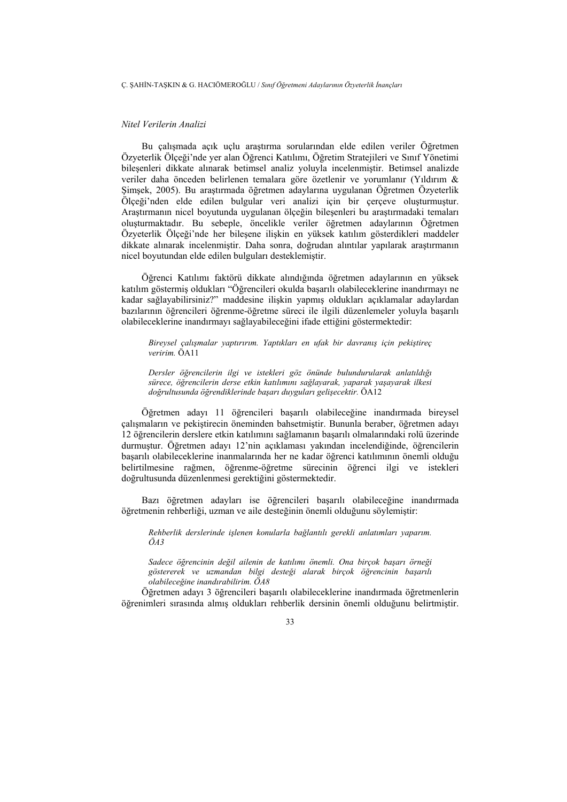#### *Nitel Verilerin Analizi*

Bu çalışmada açık uçlu araştırma sorularından elde edilen veriler Öğretmen Özyeterlik Ölçeği'nde yer alan Öğrenci Katılımı, Öğretim Stratejileri ve Sınıf Yönetimi bileşenleri dikkate alınarak betimsel analiz yoluyla incelenmiştir. Betimsel analizde veriler daha önceden belirlenen temalara göre özetlenir ve yorumlanır (Yıldırım & Şimşek, 2005). Bu araştırmada öğretmen adaylarına uygulanan Öğretmen Özyeterlik Ölçeği'nden elde edilen bulgular veri analizi için bir çerçeve oluşturmuştur. Araştırmanın nicel boyutunda uygulanan ölçeğin bileşenleri bu araştırmadaki temaları oluşturmaktadır. Bu sebeple, öncelikle veriler öğretmen adaylarının Öğretmen Özyeterlik Ölçeği'nde her bileşene ilişkin en yüksek katılım gösterdikleri maddeler dikkate alınarak incelenmiştir. Daha sonra, doğrudan alıntılar yapılarak araştırmanın nicel boyutundan elde edilen bulguları desteklemiştir.

Öğrenci Katılımı faktörü dikkate alındığında öğretmen adaylarının en yüksek katılım göstermiş oldukları "Öğrencileri okulda başarılı olabileceklerine inandırmayı ne kadar sağlayabilirsiniz?" maddesine ilişkin yapmış oldukları açıklamalar adaylardan bazılarının öğrencileri öğrenme-öğretme süreci ile ilgili düzenlemeler yoluyla başarılı olabileceklerine inandırmayı sağlayabileceğini ifade ettiğini göstermektedir:

*Bireysel çalışmalar yaptırırım. Yaptıkları en ufak bir davranış için pekiştireç veririm.* ÖA11

*Dersler öğrencilerin ilgi ve istekleri göz önünde bulundurularak anlatıldığı sürece, öğrencilerin derse etkin katılımını sağlayarak, yaparak yaşayarak ilkesi doğrultusunda öğrendiklerinde başarı duyguları gelişecektir.* ÖA12

Öğretmen adayı 11 öğrencileri başarılı olabileceğine inandırmada bireysel çalışmaların ve pekiştirecin öneminden bahsetmiştir. Bununla beraber, öğretmen adayı 12 öğrencilerin derslere etkin katılımını sağlamanın başarılı olmalarındaki rolü üzerinde durmuştur. Öğretmen adayı 12'nin açıklaması yakından incelendiğinde, öğrencilerin başarılı olabileceklerine inanmalarında her ne kadar öğrenci katılımının önemli olduğu belirtilmesine rağmen, öğrenme-öğretme sürecinin öğrenci ilgi ve istekleri doğrultusunda düzenlenmesi gerektiğini göstermektedir.

Bazı öğretmen adayları ise öğrencileri başarılı olabileceğine inandırmada öğretmenin rehberliği, uzman ve aile desteğinin önemli olduğunu söylemiştir:

*Rehberlik derslerinde işlenen konularla bağlantılı gerekli anlatımları yaparım. ÖA3* 

*Sadece öğrencinin değil ailenin de katılımı önemli. Ona birçok başarı örneği göstererek ve uzmandan bilgi desteği alarak birçok öğrencinin başarılı olabileceğine inandırabilirim. ÖA8* 

Öğretmen adayı 3 öğrencileri başarılı olabileceklerine inandırmada öğretmenlerin öğrenimleri sırasında almış oldukları rehberlik dersinin önemli olduğunu belirtmiştir.

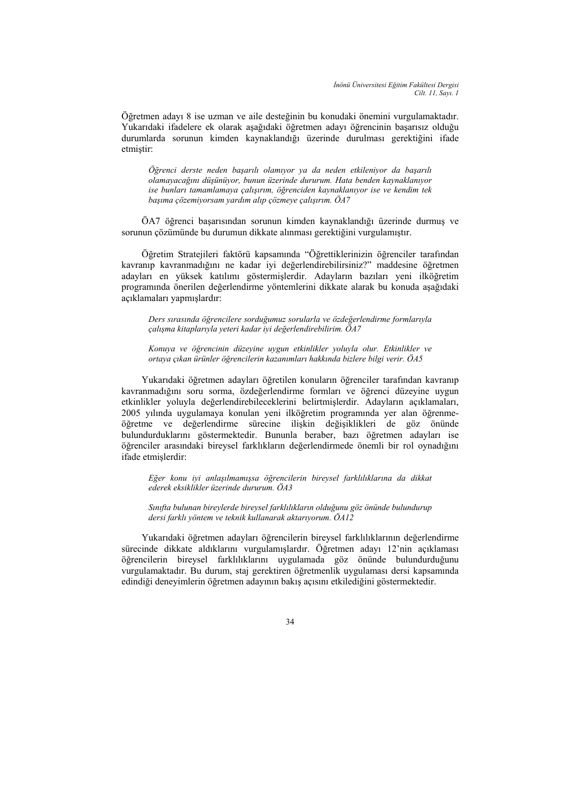Öğretmen adayı 8 ise uzman ve aile desteğinin bu konudaki önemini vurgulamaktadır. Yukarıdaki ifadelere ek olarak aşağıdaki öğretmen adayı öğrencinin başarısız olduğu durumlarda sorunun kimden kaynaklandığı üzerinde durulması gerektiğini ifade etmiştir:

*Öğrenci derste neden başarılı olamıyor ya da neden etkileniyor da başarılı olamayacağını düşünüyor, bunun üzerinde dururum. Hata benden kaynaklanıyor ise bunları tamamlamaya çalışırım, öğrenciden kaynaklanıyor ise ve kendim tek başıma çözemiyorsam yardım alıp çözmeye çalışırım. ÖA7* 

ÖA7 öğrenci başarısından sorunun kimden kaynaklandığı üzerinde durmuş ve sorunun çözümünde bu durumun dikkate alınması gerektiğini vurgulamıştır.

Öğretim Stratejileri faktörü kapsamında "Öğrettiklerinizin öğrenciler tarafından kavranıp kavranmadığını ne kadar iyi değerlendirebilirsiniz?" maddesine öğretmen adayları en yüksek katılımı göstermişlerdir. Adayların bazıları yeni ilköğretim programında önerilen değerlendirme yöntemlerini dikkate alarak bu konuda aşağıdaki açıklamaları yapmışlardır:

*Ders sırasında öğrencilere sorduğumuz sorularla ve özdeğerlendirme formlarıyla çalışma kitaplarıyla yeteri kadar iyi değerlendirebilirim. ÖA7* 

*Konuya ve öğrencinin düzeyine uygun etkinlikler yoluyla olur. Etkinlikler ve ortaya çıkan ürünler öğrencilerin kazanımları hakkında bizlere bilgi verir. ÖA5* 

Yukarıdaki öğretmen adayları öğretilen konuların öğrenciler tarafından kavranıp kavranmadığını soru sorma, özdeğerlendirme formları ve öğrenci düzeyine uygun etkinlikler yoluyla değerlendirebileceklerini belirtmişlerdir. Adayların açıklamaları, 2005 yılında uygulamaya konulan yeni ilköğretim programında yer alan öğrenmeöğretme ve değerlendirme sürecine ilişkin değişiklikleri de göz önünde bulundurduklarını göstermektedir. Bununla beraber, bazı öğretmen adayları ise öğrenciler arasındaki bireysel farklıkların değerlendirmede önemli bir rol oynadığını ifade etmişlerdir:

*Eğer konu iyi anlaşılmamışsa öğrencilerin bireysel farklılıklarına da dikkat ederek eksiklikler üzerinde dururum. ÖA3* 

*Sınıfta bulunan bireylerde bireysel farklılıkların olduğunu göz önünde bulundurup dersi farklı yöntem ve teknik kullanarak aktarıyorum. ÖA12* 

Yukarıdaki öğretmen adayları öğrencilerin bireysel farklılıklarının değerlendirme sürecinde dikkate aldıklarını vurgulamışlardır. Öğretmen adayı 12'nin açıklaması öğrencilerin bireysel farklılıklarını uygulamada göz önünde bulundurduğunu vurgulamaktadır. Bu durum, staj gerektiren öğretmenlik uygulaması dersi kapsamında edindiği deneyimlerin öğretmen adayının bakış açısını etkilediğini göstermektedir.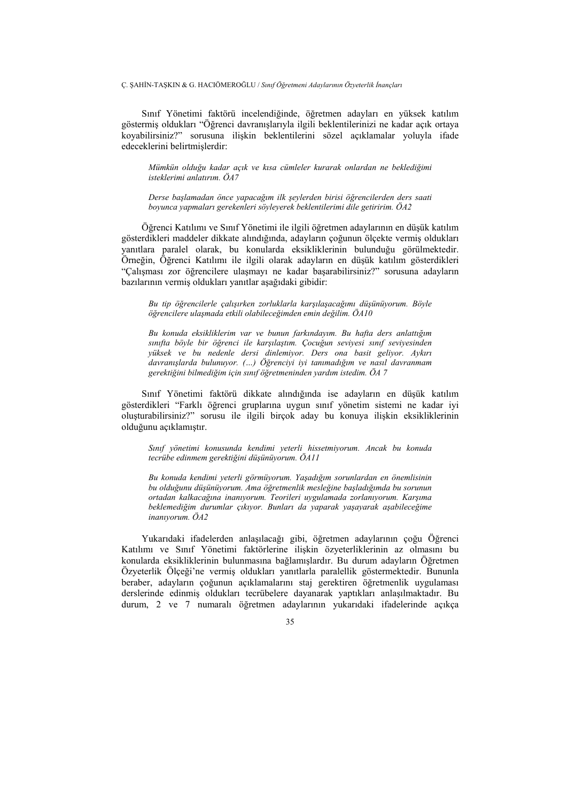Ç. ŞAHİN-TAŞKIN & G. HACIÖMEROĞLU / *Sınıf Öğretmeni Adaylarının Özyeterlik İnançları*

Sınıf Yönetimi faktörü incelendiğinde, öğretmen adayları en yüksek katılım göstermiş oldukları "Öğrenci davranışlarıyla ilgili beklentilerinizi ne kadar açık ortaya koyabilirsiniz?" sorusuna ilişkin beklentilerini sözel açıklamalar yoluyla ifade edeceklerini belirtmişlerdir:

*Mümkün olduğu kadar açık ve kısa cümleler kurarak onlardan ne beklediğimi isteklerimi anlatırım. ÖA7* 

*Derse başlamadan önce yapacağım ilk şeylerden birisi öğrencilerden ders saati boyunca yapmaları gerekenleri söyleyerek beklentilerimi dile getiririm. ÖA2* 

Öğrenci Katılımı ve Sınıf Yönetimi ile ilgili öğretmen adaylarının en düşük katılım gösterdikleri maddeler dikkate alındığında, adayların çoğunun ölçekte vermiş oldukları yanıtlara paralel olarak, bu konularda eksikliklerinin bulunduğu görülmektedir. Örneğin, Öğrenci Katılımı ile ilgili olarak adayların en düşük katılım gösterdikleri "Çalışması zor öğrencilere ulaşmayı ne kadar başarabilirsiniz?" sorusuna adayların bazılarının vermiş oldukları yanıtlar aşağıdaki gibidir:

*Bu tip öğrencilerle çalışırken zorluklarla karşılaşacağımı düşünüyorum. Böyle öğrencilere ulaşmada etkili olabileceğimden emin değilim. ÖA10* 

*Bu konuda eksikliklerim var ve bunun farkındayım. Bu hafta ders anlattığım sınıfta böyle bir öğrenci ile karşılaştım. Çocuğun seviyesi sınıf seviyesinden yüksek ve bu nedenle dersi dinlemiyor. Ders ona basit geliyor. Aykırı davranışlarda bulunuyor. (…) Öğrenciyi iyi tanımadığım ve nasıl davranmam gerektiğini bilmediğim için sınıf öğretmeninden yardım istedim. ÖA 7* 

Sınıf Yönetimi faktörü dikkate alındığında ise adayların en düşük katılım gösterdikleri "Farklı öğrenci gruplarına uygun sınıf yönetim sistemi ne kadar iyi oluşturabilirsiniz?" sorusu ile ilgili birçok aday bu konuya ilişkin eksikliklerinin olduğunu açıklamıştır.

*Sınıf yönetimi konusunda kendimi yeterli hissetmiyorum. Ancak bu konuda tecrübe edinmem gerektiğini düşünüyorum. ÖA11* 

*Bu konuda kendimi yeterli görmüyorum. Yaşadığım sorunlardan en önemlisinin bu olduğunu düşünüyorum. Ama öğretmenlik mesleğine başladığımda bu sorunun ortadan kalkacağına inanıyorum. Teorileri uygulamada zorlanıyorum. Karşıma beklemediğim durumlar çıkıyor. Bunları da yaparak yaşayarak aşabileceğime inanıyorum. ÖA2* 

Yukarıdaki ifadelerden anlaşılacağı gibi, öğretmen adaylarının çoğu Öğrenci Katılımı ve Sınıf Yönetimi faktörlerine ilişkin özyeterliklerinin az olmasını bu konularda eksikliklerinin bulunmasına bağlamışlardır. Bu durum adayların Öğretmen Özyeterlik Ölçeği'ne vermiş oldukları yanıtlarla paralellik göstermektedir. Bununla beraber, adayların çoğunun açıklamalarını staj gerektiren öğretmenlik uygulaması derslerinde edinmiş oldukları tecrübelere dayanarak yaptıkları anlaşılmaktadır. Bu durum, 2 ve 7 numaralı öğretmen adaylarının yukarıdaki ifadelerinde açıkça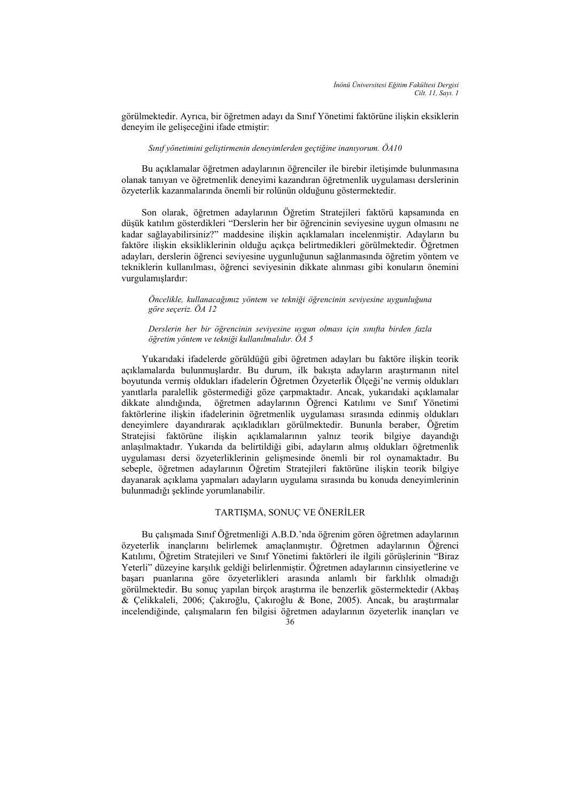görülmektedir. Ayrıca, bir öğretmen adayı da Sınıf Yönetimi faktörüne ilişkin eksiklerin deneyim ile gelişeceğini ifade etmiştir:

#### *Sınıf yönetimini geliştirmenin deneyimlerden geçtiğine inanıyorum. ÖA10*

Bu açıklamalar öğretmen adaylarının öğrenciler ile birebir iletişimde bulunmasına olanak tanıyan ve öğretmenlik deneyimi kazandıran öğretmenlik uygulaması derslerinin özyeterlik kazanmalarında önemli bir rolünün olduğunu göstermektedir.

Son olarak, öğretmen adaylarının Öğretim Stratejileri faktörü kapsamında en düşük katılım gösterdikleri "Derslerin her bir öğrencinin seviyesine uygun olmasını ne kadar sağlayabilirsiniz?" maddesine ilişkin açıklamaları incelenmiştir. Adayların bu faktöre ilişkin eksikliklerinin olduğu açıkça belirtmedikleri görülmektedir. Öğretmen adayları, derslerin öğrenci seviyesine uygunluğunun sağlanmasında öğretim yöntem ve tekniklerin kullanılması, öğrenci seviyesinin dikkate alınması gibi konuların önemini vurgulamışlardır:

*Öncelikle, kullanacağımız yöntem ve tekniği öğrencinin seviyesine uygunluğuna göre seçeriz. ÖA 12* 

*Derslerin her bir öğrencinin seviyesine uygun olması için sınıfta birden fazla öğretim yöntem ve tekniği kullanılmalıdır. ÖA 5* 

Yukarıdaki ifadelerde görüldüğü gibi öğretmen adayları bu faktöre ilişkin teorik açıklamalarda bulunmuşlardır. Bu durum, ilk bakışta adayların araştırmanın nitel boyutunda vermiş oldukları ifadelerin Öğretmen Özyeterlik Ölçeği'ne vermiş oldukları yanıtlarla paralellik göstermediği göze çarpmaktadır. Ancak, yukarıdaki açıklamalar dikkate alındığında, öğretmen adaylarının Öğrenci Katılımı ve Sınıf Yönetimi faktörlerine ilişkin ifadelerinin öğretmenlik uygulaması sırasında edinmiş oldukları deneyimlere dayandırarak açıkladıkları görülmektedir. Bununla beraber, Öğretim Stratejisi faktörüne ilişkin açıklamalarının yalnız teorik bilgiye dayandığı anlaşılmaktadır. Yukarıda da belirtildiği gibi, adayların almış oldukları öğretmenlik uygulaması dersi özyeterliklerinin gelişmesinde önemli bir rol oynamaktadır. Bu sebeple, öğretmen adaylarının Öğretim Stratejileri faktörüne ilişkin teorik bilgiye dayanarak açıklama yapmaları adayların uygulama sırasında bu konuda deneyimlerinin bulunmadığı şeklinde yorumlanabilir.

## TARTIŞMA, SONUÇ VE ÖNERİLER

Bu çalışmada Sınıf Öğretmenliği A.B.D.'nda öğrenim gören öğretmen adaylarının özyeterlik inançlarını belirlemek amaçlanmıştır. Öğretmen adaylarının Öğrenci Katılımı, Öğretim Stratejileri ve Sınıf Yönetimi faktörleri ile ilgili görüşlerinin "Biraz Yeterli" düzeyine karşılık geldiği belirlenmiştir. Öğretmen adaylarının cinsiyetlerine ve başarı puanlarına göre özyeterlikleri arasında anlamlı bir farklılık olmadığı görülmektedir. Bu sonuç yapılan birçok araştırma ile benzerlik göstermektedir (Akbaş & Çelikkaleli, 2006; Çakıroğlu, Çakıroğlu & Bone, 2005). Ancak, bu araştırmalar incelendiğinde, çalışmaların fen bilgisi öğretmen adaylarının özyeterlik inançları ve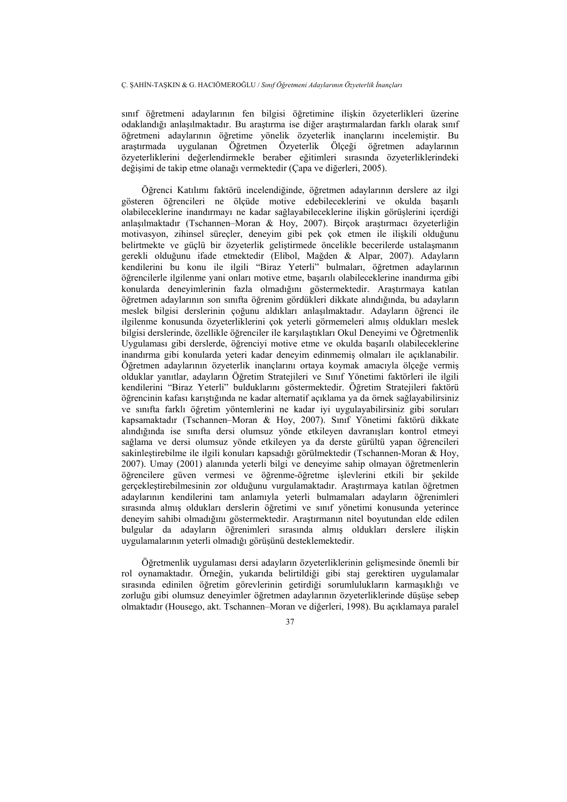sınıf öğretmeni adaylarının fen bilgisi öğretimine ilişkin özyeterlikleri üzerine odaklandığı anlaşılmaktadır. Bu araştırma ise diğer araştırmalardan farklı olarak sınıf öğretmeni adaylarının öğretime yönelik özyeterlik inançlarını incelemiştir. Bu araştırmada uygulanan Öğretmen Özyeterlik Ölçeği öğretmen adaylarının özyeterliklerini değerlendirmekle beraber eğitimleri sırasında özyeterliklerindeki değişimi de takip etme olanağı vermektedir (Çapa ve diğerleri, 2005).

Öğrenci Katılımı faktörü incelendiğinde, öğretmen adaylarının derslere az ilgi gösteren öğrencileri ne ölçüde motive edebileceklerini ve okulda başarılı olabileceklerine inandırmayı ne kadar sağlayabileceklerine ilişkin görüşlerini içerdiği anlaşılmaktadır (Tschannen–Moran & Hoy, 2007). Birçok araştırmacı özyeterliğin motivasyon, zihinsel süreçler, deneyim gibi pek çok etmen ile ilişkili olduğunu belirtmekte ve güçlü bir özyeterlik geliştirmede öncelikle becerilerde ustalaşmanın gerekli olduğunu ifade etmektedir (Elibol, Mağden & Alpar, 2007). Adayların kendilerini bu konu ile ilgili "Biraz Yeterli" bulmaları, öğretmen adaylarının öğrencilerle ilgilenme yani onları motive etme, başarılı olabileceklerine inandırma gibi konularda deneyimlerinin fazla olmadığını göstermektedir. Araştırmaya katılan öğretmen adaylarının son sınıfta öğrenim gördükleri dikkate alındığında, bu adayların meslek bilgisi derslerinin çoğunu aldıkları anlaşılmaktadır. Adayların öğrenci ile ilgilenme konusunda özyeterliklerini çok yeterli görmemeleri almış oldukları meslek bilgisi derslerinde, özellikle öğrenciler ile karşılaştıkları Okul Deneyimi ve Öğretmenlik Uygulaması gibi derslerde, öğrenciyi motive etme ve okulda başarılı olabileceklerine inandırma gibi konularda yeteri kadar deneyim edinmemiş olmaları ile açıklanabilir. Öğretmen adaylarının özyeterlik inançlarını ortaya koymak amacıyla ölçeğe vermiş olduklar yanıtlar, adayların Öğretim Stratejileri ve Sınıf Yönetimi faktörleri ile ilgili kendilerini "Biraz Yeterli" bulduklarını göstermektedir. Öğretim Stratejileri faktörü öğrencinin kafası karıştığında ne kadar alternatif açıklama ya da örnek sağlayabilirsiniz ve sınıfta farklı öğretim yöntemlerini ne kadar iyi uygulayabilirsiniz gibi soruları kapsamaktadır (Tschannen–Moran & Hoy, 2007). Sınıf Yönetimi faktörü dikkate alındığında ise sınıfta dersi olumsuz yönde etkileyen davranışları kontrol etmeyi sağlama ve dersi olumsuz yönde etkileyen ya da derste gürültü yapan öğrencileri sakinleştirebilme ile ilgili konuları kapsadığı görülmektedir (Tschannen-Moran & Hoy, 2007). Umay (2001) alanında yeterli bilgi ve deneyime sahip olmayan öğretmenlerin öğrencilere güven vermesi ve öğrenme-öğretme işlevlerini etkili bir şekilde gerçekleştirebilmesinin zor olduğunu vurgulamaktadır. Araştırmaya katılan öğretmen adaylarının kendilerini tam anlamıyla yeterli bulmamaları adayların öğrenimleri sırasında almış oldukları derslerin öğretimi ve sınıf yönetimi konusunda yeterince deneyim sahibi olmadığını göstermektedir. Araştırmanın nitel boyutundan elde edilen bulgular da adayların öğrenimleri sırasında almış oldukları derslere ilişkin uygulamalarının yeterli olmadığı görüşünü desteklemektedir.

Öğretmenlik uygulaması dersi adayların özyeterliklerinin gelişmesinde önemli bir rol oynamaktadır. Örneğin, yukarıda belirtildiği gibi staj gerektiren uygulamalar sırasında edinilen öğretim görevlerinin getirdiği sorumlulukların karmaşıklığı ve zorluğu gibi olumsuz deneyimler öğretmen adaylarının özyeterliklerinde düşüşe sebep olmaktadır (Housego, akt. Tschannen–Moran ve diğerleri, 1998). Bu açıklamaya paralel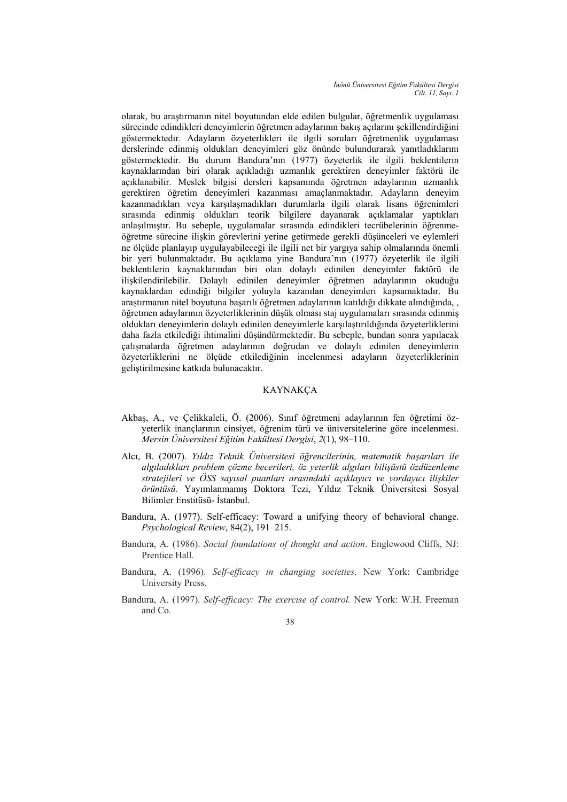olarak, bu araştırmanın nitel boyutundan elde edilen bulgular, öğretmenlik uygulaması sürecinde edindikleri deneyimlerin öğretmen adaylarının bakış açılarını şekillendirdiğini göstermektedir. Adayların özyeterlikleri ile ilgili soruları öğretmenlik uygulaması derslerinde edinmiş oldukları deneyimleri göz önünde bulundurarak yanıtladıklarını göstermektedir. Bu durum Bandura'nın (1977) özyeterlik ile ilgili beklentilerin kaynaklarından biri olarak açıkladığı uzmanlık gerektiren deneyimler faktörü ile açıklanabilir. Meslek bilgisi dersleri kapsamında öğretmen adaylarının uzmanlık gerektiren öğretim deneyimleri kazanması amaçlanmaktadır. Adayların deneyim kazanmadıkları veya karşılaşmadıkları durumlarla ilgili olarak lisans öğrenimleri sırasında edinmiş oldukları teorik bilgilere dayanarak açıklamalar yaptıkları anlaşılmıştır. Bu sebeple, uygulamalar sırasında edindikleri tecrübelerinin öğrenmeöğretme sürecine ilişkin görevlerini yerine getirmede gerekli düşünceleri ve eylemleri ne ölçüde planlayıp uygulayabileceği ile ilgili net bir yargıya sahip olmalarında önemli bir yeri bulunmaktadır. Bu açıklama yine Bandura'nın (1977) özyeterlik ile ilgili beklentilerin kaynaklarından biri olan dolaylı edinilen deneyimler faktörü ile ilişkilendirilebilir. Dolaylı edinilen deneyimler öğretmen adaylarının okuduğu kaynaklardan edindiği bilgiler yoluyla kazanılan deneyimleri kapsamaktadır. Bu araştırmanın nitel boyutuna başarılı öğretmen adaylarının katıldığı dikkate alındığında, , öğretmen adaylarının özyeterliklerinin düşük olması staj uygulamaları sırasında edinmiş oldukları deneyimlerin dolaylı edinilen deneyimlerle karşılaştırıldığında özyeterliklerini daha fazla etkilediği ihtimalini düşündürmektedir. Bu sebeple, bundan sonra yapılacak çalışmalarda öğretmen adaylarının doğrudan ve dolaylı edinilen deneyimlerin özyeterliklerini ne ölçüde etkilediğinin incelenmesi adayların özyeterliklerinin geliştirilmesine katkıda bulunacaktır.

## KAYNAKÇA

- Akbaş, A., ve Çelikkaleli, Ö. (2006). Sınıf öğretmeni adaylarının fen öğretimi özyeterlik inançlarının cinsiyet, öğrenim türü ve üniversitelerine göre incelenmesi. *Mersin Üniversitesi Eğitim Fakültesi Dergisi*, *2*(1), 98–110.
- Alcı, B. (2007). *Yıldız Teknik Üniversitesi öğrencilerinin, matematik başarıları ile algıladıkları problem çözme becerileri, öz yeterlik algıları bilişüstü özdüzenleme stratejileri ve ÖSS sayısal puanları arasındaki açıklayıcı ve yordayıcı ilişkiler örüntüsü.* Yayımlanmamış Doktora Tezi, Yıldız Teknik Üniversitesi Sosyal Bilimler Enstitüsü- İstanbul.
- Bandura, A. (1977). Self-efficacy: Toward a unifying theory of behavioral change. *Psychological Review*, 84(2), 191–215.
- Bandura, A. (1986). *Social foundations of thought and action*. Englewood Cliffs, NJ: Prentice Hall.
- Bandura, A. (1996). *Self-efficacy in changing societies*. New York: Cambridge University Press.
- Bandura, A. (1997). *Self-efficacy: The exercise of control.* New York: W.H. Freeman and Co.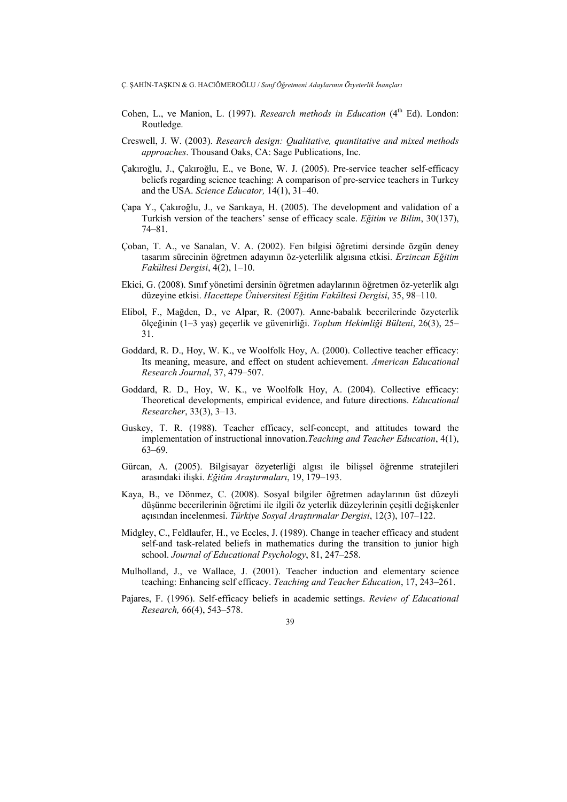Ç. ŞAHİN-TAŞKIN & G. HACIÖMEROĞLU / *Sınıf Öğretmeni Adaylarının Özyeterlik İnançları*

- Cohen, L., ve Manion, L. (1997). *Research methods in Education* (4<sup>th</sup> Ed). London: Routledge.
- Creswell, J. W. (2003). *Research design: Qualitative, quantitative and mixed methods approaches*. Thousand Oaks, CA: Sage Publications, Inc.
- Çakıroğlu, J., Çakıroğlu, E., ve Bone, W. J. (2005). Pre-service teacher self-efficacy beliefs regarding science teaching: A comparison of pre-service teachers in Turkey and the USA. *Science Educator,* 14(1), 31–40.
- Çapa Y., Çakıroğlu, J., ve Sarıkaya, H. (2005). The development and validation of a Turkish version of the teachers' sense of efficacy scale. *Eğitim ve Bilim*, 30(137), 74–81.
- Çoban, T. A., ve Sanalan, V. A. (2002). Fen bilgisi öğretimi dersinde özgün deney tasarım sürecinin öğretmen adayının öz-yeterlilik algısına etkisi. *Erzincan Eğitim Fakültesi Dergisi*, 4(2), 1–10.
- Ekici, G. (2008). Sınıf yönetimi dersinin öğretmen adaylarının öğretmen öz-yeterlik algı düzeyine etkisi. *Hacettepe Üniversitesi Eğitim Fakültesi Dergisi*, 35, 98–110.
- Elibol, F., Mağden, D., ve Alpar, R. (2007). Anne-babalık becerilerinde özyeterlik ölçeğinin (1–3 yaş) geçerlik ve güvenirliği. *Toplum Hekimliği Bülteni*, 26(3), 25– 31.
- Goddard, R. D., Hoy, W. K., ve Woolfolk Hoy, A. (2000). Collective teacher efficacy: Its meaning, measure, and effect on student achievement. *American Educational Research Journal*, 37, 479–507.
- Goddard, R. D., Hoy, W. K., ve Woolfolk Hoy, A. (2004). Collective efficacy: Theoretical developments, empirical evidence, and future directions. *Educational Researcher*, 33(3), 3–13.
- Guskey, T. R. (1988). Teacher efficacy, self-concept, and attitudes toward the implementation of instructional innovation.*Teaching and Teacher Education*, 4(1), 63–69.
- Gürcan, A. (2005). Bilgisayar özyeterliği algısı ile bilişsel öğrenme stratejileri arasındaki ilişki. *Eğitim Araştırmaları*, 19, 179–193.
- Kaya, B., ve Dönmez, C. (2008). Sosyal bilgiler öğretmen adaylarının üst düzeyli düşünme becerilerinin öğretimi ile ilgili öz yeterlik düzeylerinin çeşitli değişkenler açısından incelenmesi. *Türkiye Sosyal Araştırmalar Dergisi*, 12(3), 107–122.
- Midgley, C., Feldlaufer, H., ve Eccles, J. (1989). Change in teacher efficacy and student self-and task-related beliefs in mathematics during the transition to junior high school. *Journal of Educational Psychology*, 81, 247–258.
- Mulholland, J., ve Wallace, J. (2001). Teacher induction and elementary science teaching: Enhancing self efficacy. *Teaching and Teacher Education*, 17, 243–261.
- Pajares, F. (1996). Self-efficacy beliefs in academic settings. *Review of Educational Research,* 66(4), 543–578.